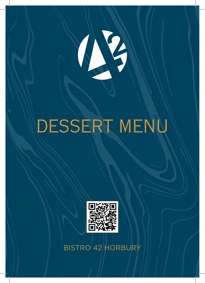

# DESSERT MENU



BISTRO 42 HORBURY